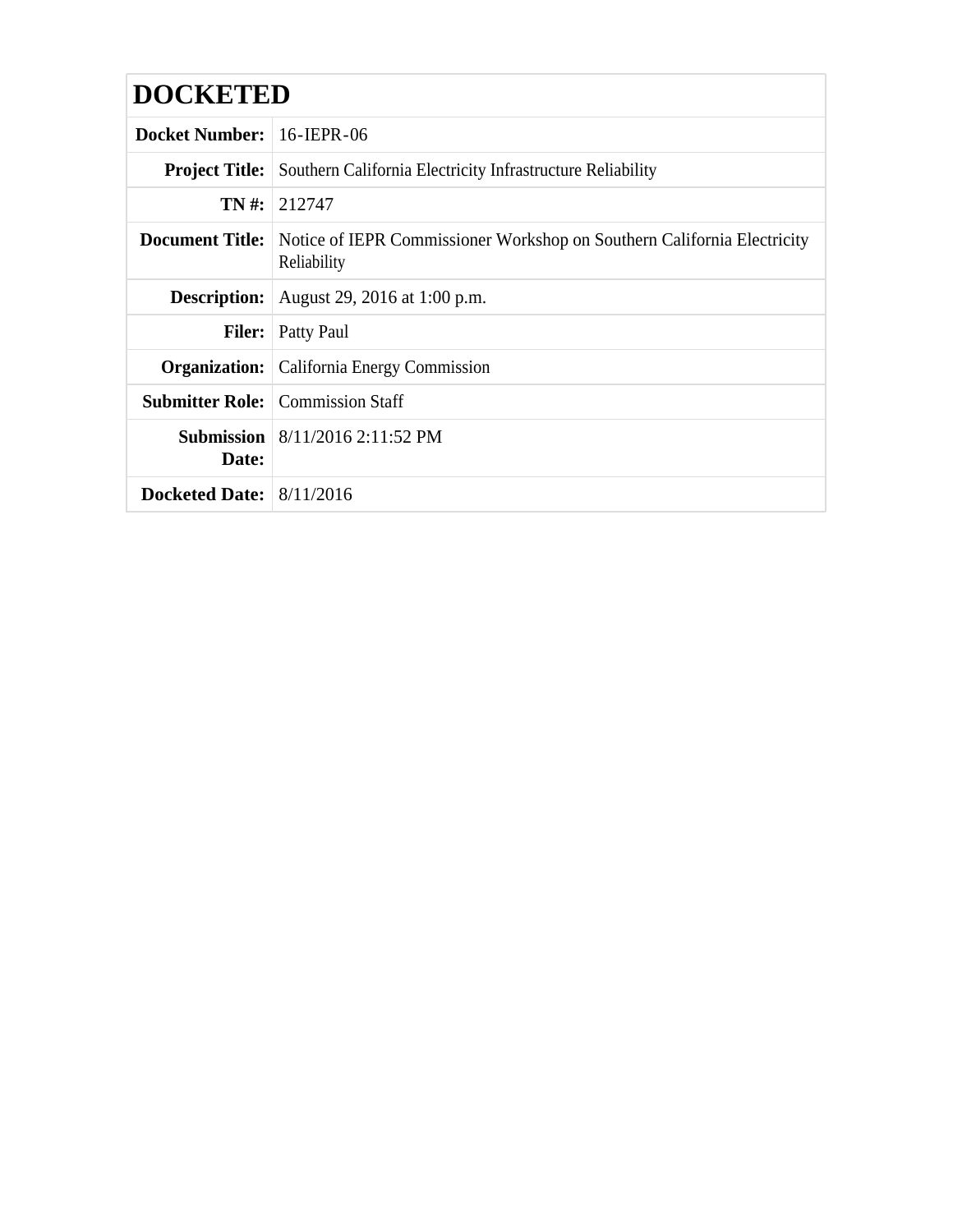| <b>DOCKETED</b>            |                                                                                                               |
|----------------------------|---------------------------------------------------------------------------------------------------------------|
| <b>Docket Number:</b>      | $16$ -IEPR-06                                                                                                 |
|                            | <b>Project Title:</b> Southern California Electricity Infrastructure Reliability                              |
|                            | $TN \#: 212747$                                                                                               |
|                            | <b>Document Title:</b> Notice of IEPR Commissioner Workshop on Southern California Electricity<br>Reliability |
|                            | <b>Description:</b> August 29, 2016 at 1:00 p.m.                                                              |
|                            | <b>Filer:</b> Patty Paul                                                                                      |
|                            | <b>Organization:</b> California Energy Commission                                                             |
|                            | <b>Submitter Role:</b> Commission Staff                                                                       |
| Date:                      | <b>Submission</b> 8/11/2016 2:11:52 PM                                                                        |
| Docketed Date: $8/11/2016$ |                                                                                                               |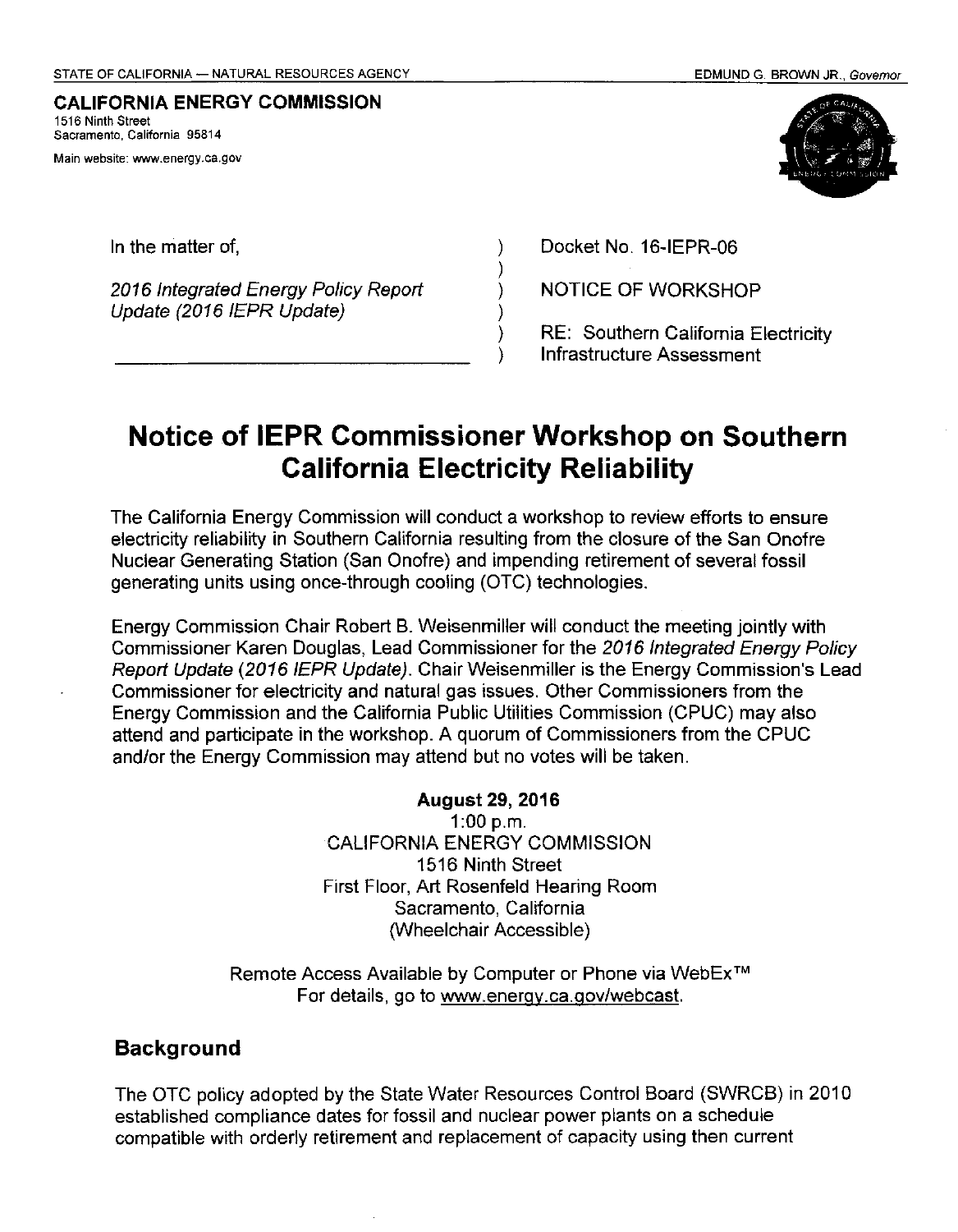#### **CALIFORNIA ENERGY COMMISSION**  1516 Ninth Street **Sacramento, California 95814**

**Main website: www.energy.ca.gov** 



2016 Integrated Energy Policy Report Update (2016 IEPR Update)

In the matter of, Docket No. 16-IEPR-06

NOTICE OF WORKSHOP

RE: Southern California Electricity Infrastructure Assessment

# **Notice of IEPR Commissioner Workshop on Southern California Electricity Reliability**

) ) ) ) ) )

The California Energy Commission will conduct a workshop to review efforts to ensure electricity reliability in Southern California resulting from the closure of the San Onofre Nuclear Generating Station (San Onofre) and impending retirement of several fossil generating units using once-through cooling (OTC) technologies.

Energy Commission Chair Robert B. Weisenmiller will conduct the meeting jointly with Commissioner Karen Douglas, Lead Commissioner for the 2016 Integrated Energy Policy Report Update (2016 IEPR Update). Chair Weisenmiller is the Energy Commission's Lead Commissioner for electricity and natural gas issues. Other Commissioners from the Energy Commission and the California Public Utilities Commission (CPUC) may also attend and participate in the workshop. A quorum of Commissioners from the CPUC and/or the Energy Commission may attend but no votes will be taken.

> **August 29, 2016**  1:00 p.m. CALIFORNIA ENERGY COMMISSION 1516 Ninth Street First Floor, Art Rosenfeld Hearing Room Sacramento, California (Wheelchair Accessible)

Remote Access Available by Computer or Phone via WebEx™ For details, go to www.energy.ca.gov/webcast.

## **Background**

The OTC policy adopted by the State Water Resources Control Board (SWRCB) in 2010 established compliance dates for fossil and nuclear power plants on a schedule compatible with orderly retirement and replacement of capacity using then current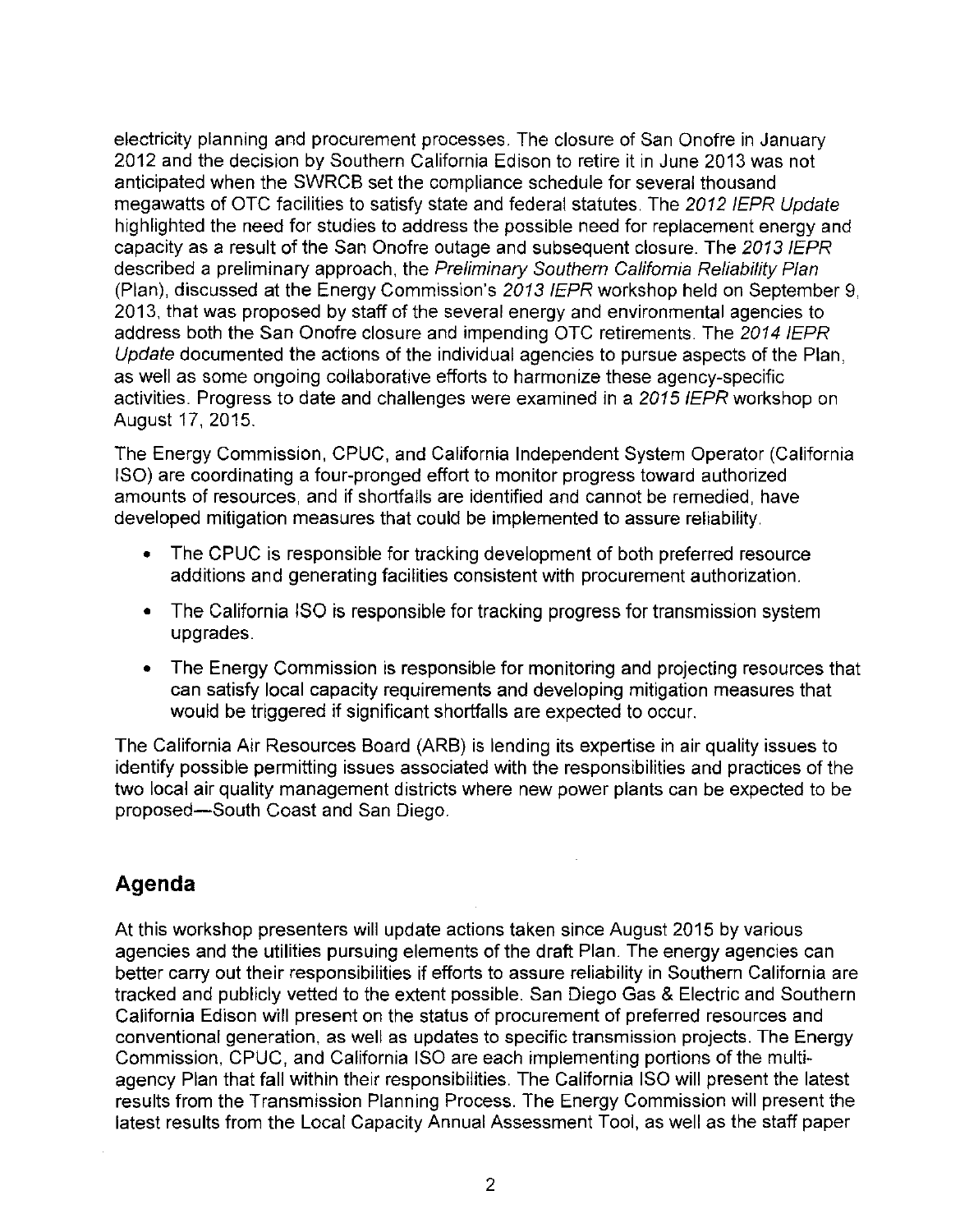electricity planning and procurement processes. The closure of San Onofre in January 2012 and the decision by Southern California Edison to retire it in June 2013 was not anticipated when the SWRCB set the compliance schedule for several thousand megawatts of OTC facilities to satisfy state and federal statutes. The 2012 IEPR Update highlighted the need for studies to address the possible need for replacement energy and capacity as a result of the San Onofre outage and subsequent closure. The 2013 IEPR described a preliminary approach, the Preliminary Southern California Reliability Plan (Plan), discussed at the Energy Commission's 2013 IEPR workshop held on September 9, 2013, that was proposed by staff of the several energy and environmental agencies to address both the San Onofre closure and impending OTC retirements. The 2014 IEPR Update documented the actions of the individual agencies to pursue aspects of the Plan, as well as some ongoing collaborative efforts to harmonize these agency-specific activities. Progress to date and challenges were examined in a 2015 IEPR workshop on August 17, 2015.

The Energy Commission, CPUC, and California Independent System Operator (California ISO) are coordinating a four-pronged effort to monitor progress toward authorized amounts of resources, and if shortfalls are identified and cannot be remedied, have developed mitigation measures that could be implemented to assure reliability.

- The CPUC is responsible for tracking development of both preferred resource additions and generating facilities consistent with procurement authorization.
- The California ISO is responsible for tracking progress for transmission system upgrades.
- The Energy Commission is responsible for monitoring and projecting resources that can satisfy local capacity requirements and developing mitigation measures that would be triggered if significant shortfalls are expected to occur.

The California Air Resources Board (ARB) is lending its expertise in air quality issues to identify possible permitting issues associated with the responsibilities and practices of the two local air quality management districts where new power plants can be expected to be proposed-South Coast and San Diego.

## **Agenda**

At this workshop presenters will update actions taken since August 2015 by various agencies and the utilities pursuing elements of the draft Plan. The energy agencies can better carry out their responsibilities if efforts to assure reliability in Southern California are tracked and publicly vetted to the extent possible. San Diego Gas & Electric and Southern California Edison will present on the status of procurement of preferred resources and conventional generation, as well as updates to specific transmission projects. The Energy Commission, CPUC, and California ISO are each implementing portions of the multiagency Plan that fall within their responsibilities. The California ISO will present the latest results from the Transmission Planning Process. The Energy Commission will present the latest results from the Local Capacity Annual Assessment Tool, as well as the staff paper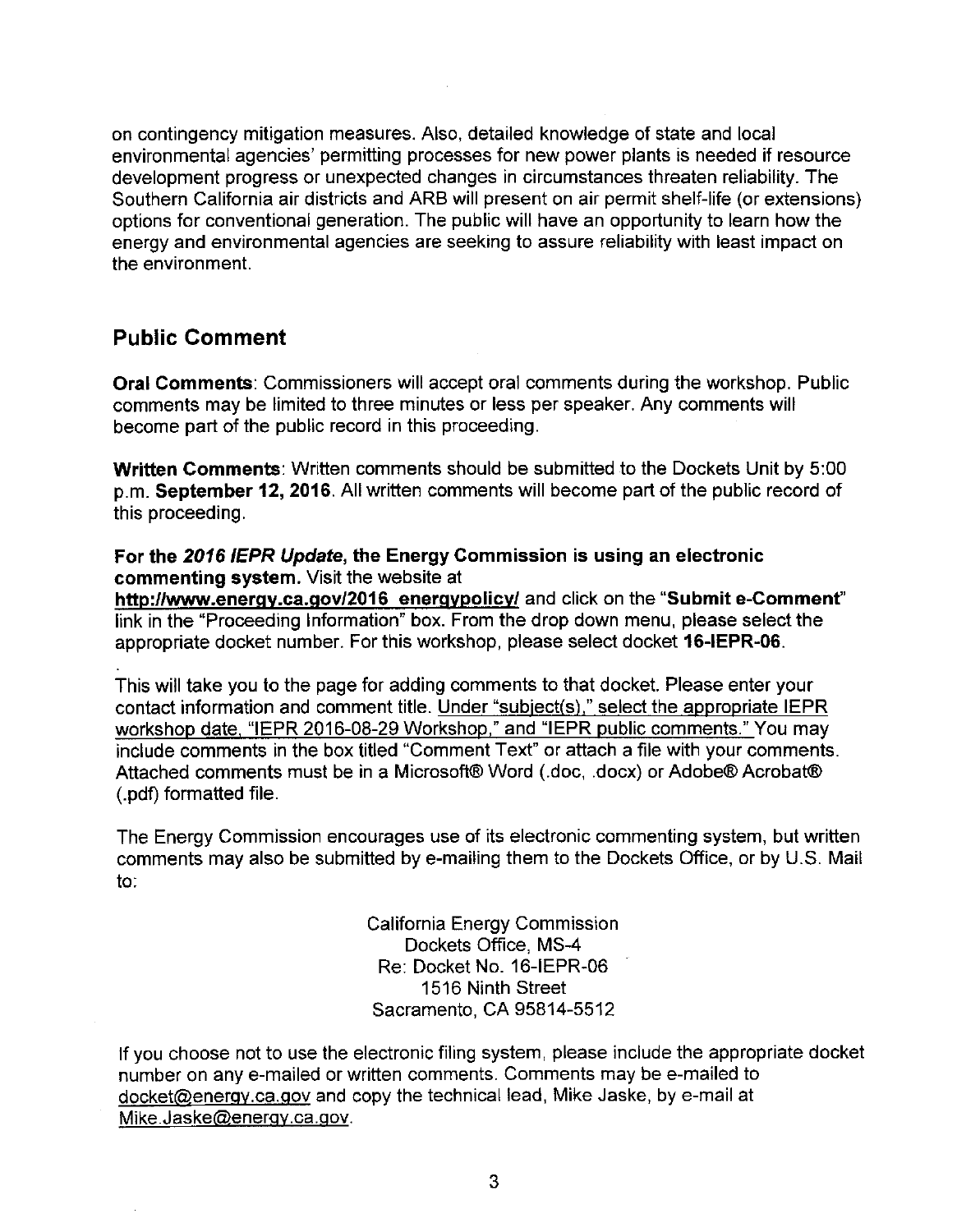on contingency mitigation measures. Also, detailed knowledge of state and local environmental agencies' permitting processes for new power plants is needed if resource development progress or unexpected changes in circumstances threaten reliability. The Southern California air districts and ARB will present on air permit shelf-life (or extensions) options for conventional generation. The public will have an opportunity to learn how the energy and environmental agencies are seeking to assure reliability with least impact on the environment.

## **Public Comment**

**Oral Comments:** Commissioners will accept oral comments during the workshop. Public comments may be limited to three minutes or less per speaker. Any comments will become part of the public record in this proceeding.

**Written Comments:** Written comments should be submitted to the Dockets Unit by 5:00 p.m. **September 12, 2016.** All written comments will become part of the public record of this proceeding.

#### **For the 2016 IEPR Update, the Energy Commission is using an electronic commenting system.** Visit the website at

**http://www.energy.ca.gov/2016 energypolicy/** and click on the **"Submit e-Comment"**  link in the "Proceeding Information" box. From the drop down menu, please select the appropriate docket number. For this workshop, please select docket **16-IEPR-06.** 

This will take you to the page for adding comments to that docket. Please enter your contact information and comment title. Under "subject(s)," select the appropriate IEPR workshop date. "IEPR 2016-08-29 Workshop." and "IEPR public comments." You may include comments in the box titled "Comment Text" or attach a file with your comments. Attached comments must be in a Microsoft® Word (.doc, .docx) or Adobe® Acrobat® (.pdf) formatted file.

The Energy Commission encourages use of its electronic commenting system, but written comments may also be submitted by e-mailing them to the Dockets Office, or by U.S. Mail to:

> California Energy Commission Dockets Office, MS-4 Re: Docket No. 16-IEPR-06 1516 Ninth Street Sacramento, CA 95814-5512

If you choose not to use the electronic filing system, please include the appropriate docket number on any e-mailed or written comments. Comments may be e-mailed to docket@energy.ca.qov and copy the technical lead, Mike Jaske, by e-mail at Mike.Jaske@energy.ca.gov.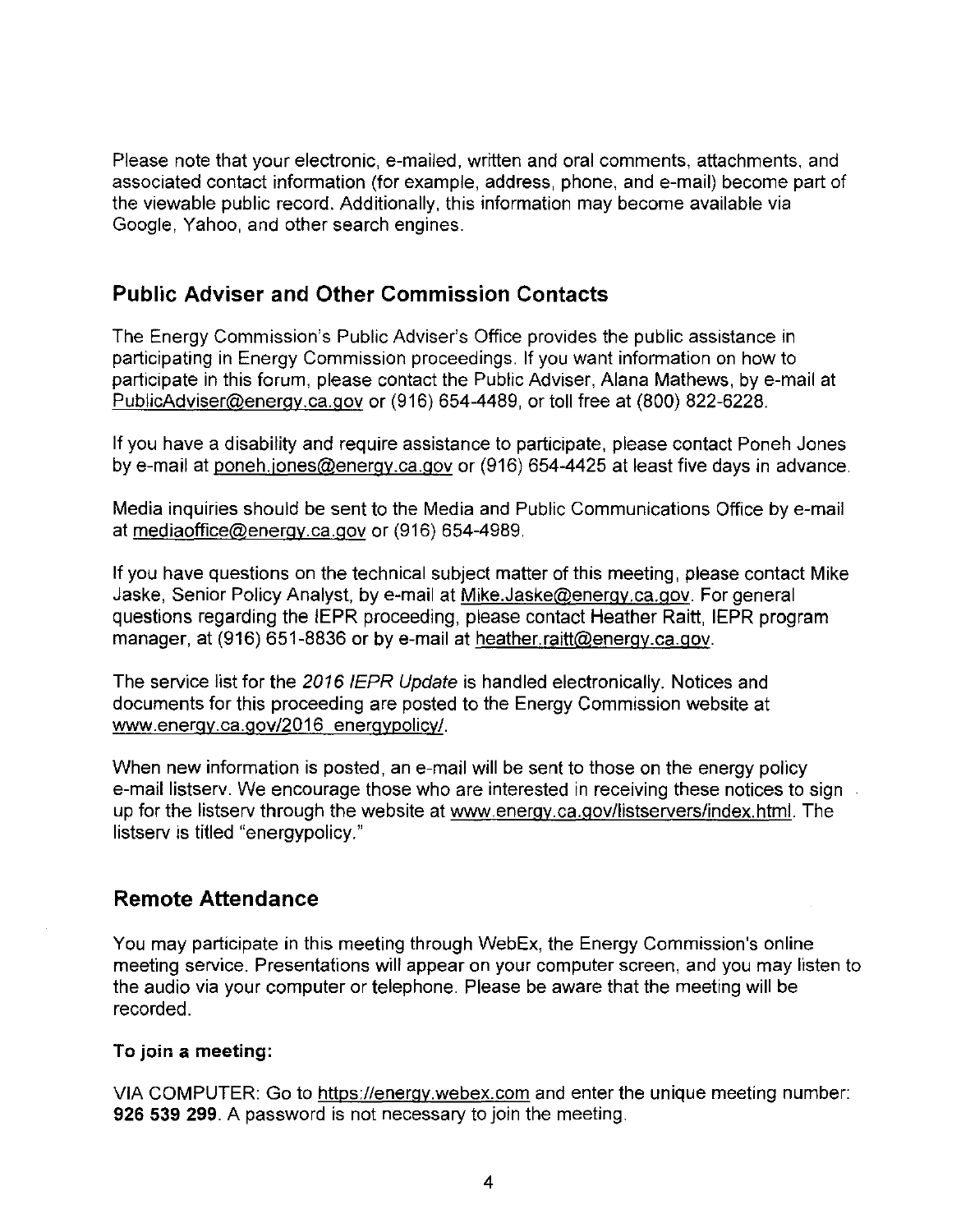Please note that your electronic, e-mailed, written and oral comments, attachments, and associated contact information (for example, address, phone, and e-mail) become part of the viewable public record. Additionally, this information may become available via Google, Yahoo, and other search engines.

## **Public Adviser and Other Commission Contacts**

The Energy Commission's Public Adviser's Office provides the public assistance in participating in Energy Commission proceedings. If you want information on how to participate in this forum, please contact the Public Adviser, Alana Mathews, by e-mail at PublicAdviser@energy.ca.gov or (916) 654-4489, or toll free at (800) 822-6228.

If you have a disability and require assistance to participate, please contact Poneh Jones by e-mail at poneh.jones@energy.ca.gov or (916) 654-4425 at least five days in advance.

Media inquiries should be sent to the Media and Public Communications Office by e-mail at mediaoffice@energy.ca.gov or (916) 654-4989.

If you have questions on the technical subject matter of this meeting, please contact Mike Jaske, Senior Policy Analyst, by e-mail at Mike.Jaske@energy.ca.gov. For general questions regarding the IEPR proceeding, please contact Heather Raitt, IEPR program manager, at (916) 651-8836 or by e-mail at heather.raitt@energy.ca.gov.

The service list for the 2016 IEPR Update is handled electronically. Notices and documents for this proceeding are posted to the Energy Commission website at www.energy.ca.gov/2016 energypolicy/.

When new information is posted, an e-mail will be sent to those on the energy policy e-mail listserv. We encourage those who are interested in receiving these notices to sign up for the listserv through the website at www.energy.ca.gov/listservers/index.html. The listserv is titled "energypolicy."

## **Remote Attendance**

You may participate in this meeting through WebEx, the Energy Commission's online meeting service. Presentations will appear on your computer screen, and you may listen to the audio via your computer or telephone. Please be aware that the meeting will be recorded.

#### **To join a meeting:**

VIA COMPUTER: Go to https://energy.webex.com and enter the unique meeting number: **926 539 299.** A password is not necessary to join the meeting.